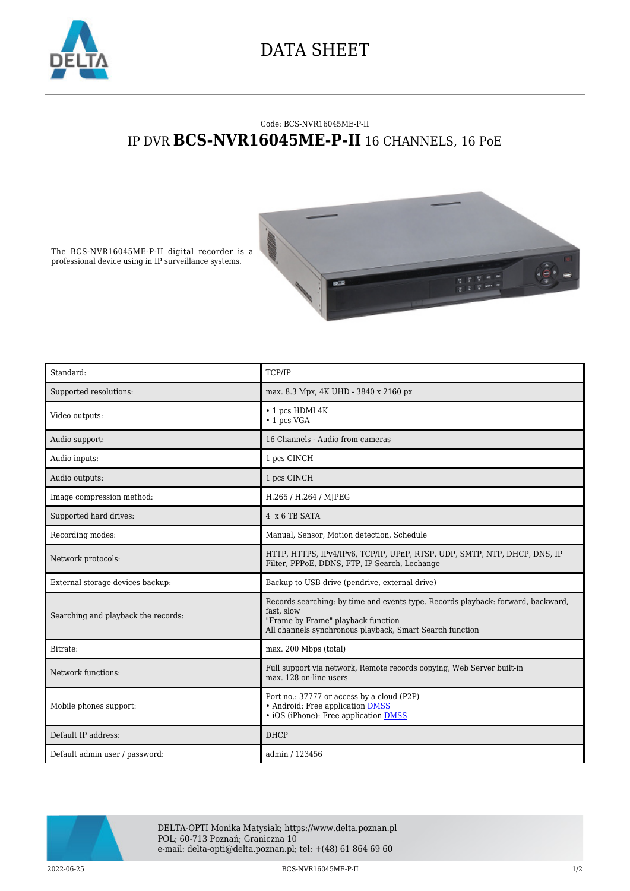

## DATA SHEET

## Code: BCS-NVR16045ME-P-II IP DVR **BCS-NVR16045ME-P-II** 16 CHANNELS, 16 PoE



The BCS-NVR16045ME-P-II digital recorder is a professional device using in IP surveillance systems.

| Standard:                           | TCP/IP                                                                                                                                                                                           |
|-------------------------------------|--------------------------------------------------------------------------------------------------------------------------------------------------------------------------------------------------|
| Supported resolutions:              | max. 8.3 Mpx, 4K UHD - 3840 x 2160 px                                                                                                                                                            |
| Video outputs:                      | • 1 pcs HDMI 4K<br>$\cdot$ 1 pcs VGA                                                                                                                                                             |
| Audio support:                      | 16 Channels - Audio from cameras                                                                                                                                                                 |
| Audio inputs:                       | 1 pcs CINCH                                                                                                                                                                                      |
| Audio outputs:                      | 1 pcs CINCH                                                                                                                                                                                      |
| Image compression method:           | H.265 / H.264 / MJPEG                                                                                                                                                                            |
| Supported hard drives:              | 4 x 6 TB SATA                                                                                                                                                                                    |
| Recording modes:                    | Manual, Sensor, Motion detection, Schedule                                                                                                                                                       |
| Network protocols:                  | HTTP, HTTPS, IPv4/IPv6, TCP/IP, UPnP, RTSP, UDP, SMTP, NTP, DHCP, DNS, IP<br>Filter, PPPoE, DDNS, FTP, IP Search, Lechange                                                                       |
| External storage devices backup:    | Backup to USB drive (pendrive, external drive)                                                                                                                                                   |
| Searching and playback the records: | Records searching: by time and events type. Records playback: forward, backward,<br>fast, slow<br>"Frame by Frame" playback function<br>All channels synchronous playback, Smart Search function |
| Bitrate:                            | max. 200 Mbps (total)                                                                                                                                                                            |
| Network functions:                  | Full support via network, Remote records copying, Web Server built-in<br>max. 128 on-line users                                                                                                  |
| Mobile phones support:              | Port no.: 37777 or access by a cloud (P2P)<br>• Android: Free application DMSS<br>• iOS (iPhone): Free application <b>DMSS</b>                                                                   |
| Default IP address:                 | <b>DHCP</b>                                                                                                                                                                                      |
| Default admin user / password:      | admin / 123456                                                                                                                                                                                   |



DELTA-OPTI Monika Matysiak; https://www.delta.poznan.pl POL; 60-713 Poznań; Graniczna 10 e-mail: delta-opti@delta.poznan.pl; tel: +(48) 61 864 69 60